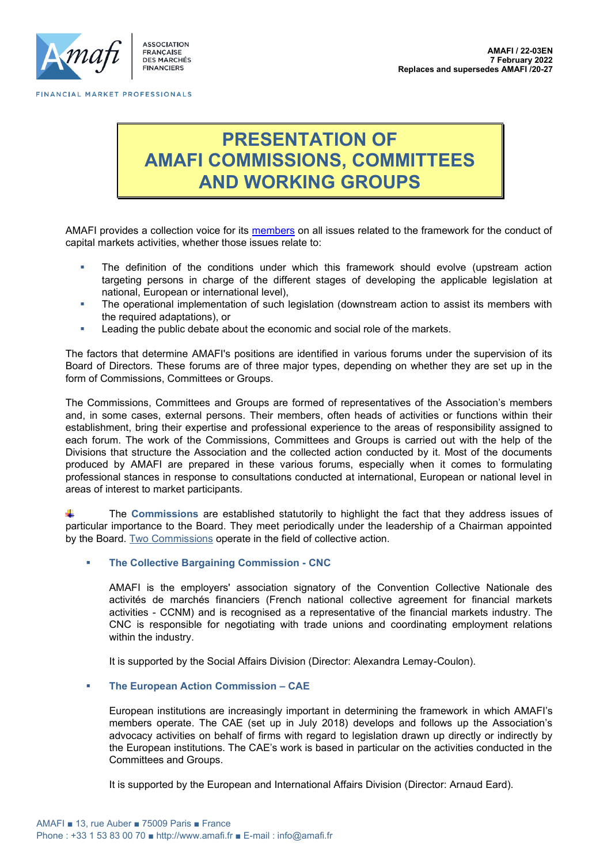

#### FINANCIAL MARKET PROFESSIONALS

# **PRESENTATION OF AMAFI COMMISSIONS, COMMITTEES AND WORKING GROUPS**

AMAFI provides a collection voice for its [members](http://www.amafi.fr/pages/fr/nos-adh%C3%A9rents) on all issues related to the framework for the conduct of capital markets activities, whether those issues relate to:

- The definition of the conditions under which this framework should evolve (upstream action targeting persons in charge of the different stages of developing the applicable legislation at national, European or international level),
- The operational implementation of such legislation (downstream action to assist its members with the required adaptations), or
- Leading the public debate about the economic and social role of the markets.

The factors that determine AMAFI's positions are identified in various forums under the supervision of its Board of Directors. These forums are of three major types, depending on whether they are set up in the form of Commissions, Committees or Groups.

The Commissions, Committees and Groups are formed of representatives of the Association's members and, in some cases, external persons. Their members, often heads of activities or functions within their establishment, bring their expertise and professional experience to the areas of responsibility assigned to each forum. The work of the Commissions, Committees and Groups is carried out with the help of the Divisions that structure the Association and the collected action conducted by it. Most of the documents produced by AMAFI are prepared in these various forums, especially when it comes to formulating professional stances in response to consultations conducted at international, European or national level in areas of interest to market participants.

d. The **Commissions** are established statutorily to highlight the fact that they address issues of particular importance to the Board. They meet periodically under the leadership of a Chairman appointed by the Board. Two Commissions operate in the field of collective action.

# ▪ **The Collective Bargaining Commission - CNC**

AMAFI is the employers' association signatory of the Convention Collective Nationale des activités de marchés financiers (French national collective agreement for financial markets activities - CCNM) and is recognised as a representative of the financial markets industry. The CNC is responsible for negotiating with trade unions and coordinating employment relations within the industry.

It is supported by the Social Affairs Division (Director: Alexandra Lemay-Coulon).

# ▪ **The European Action Commission – CAE**

European institutions are increasingly important in determining the framework in which AMAFI's members operate. The CAE (set up in July 2018) develops and follows up the Association's advocacy activities on behalf of firms with regard to legislation drawn up directly or indirectly by the European institutions. The CAE's work is based in particular on the activities conducted in the Committees and Groups.

It is supported by the European and International Affairs Division (Director: Arnaud Eard).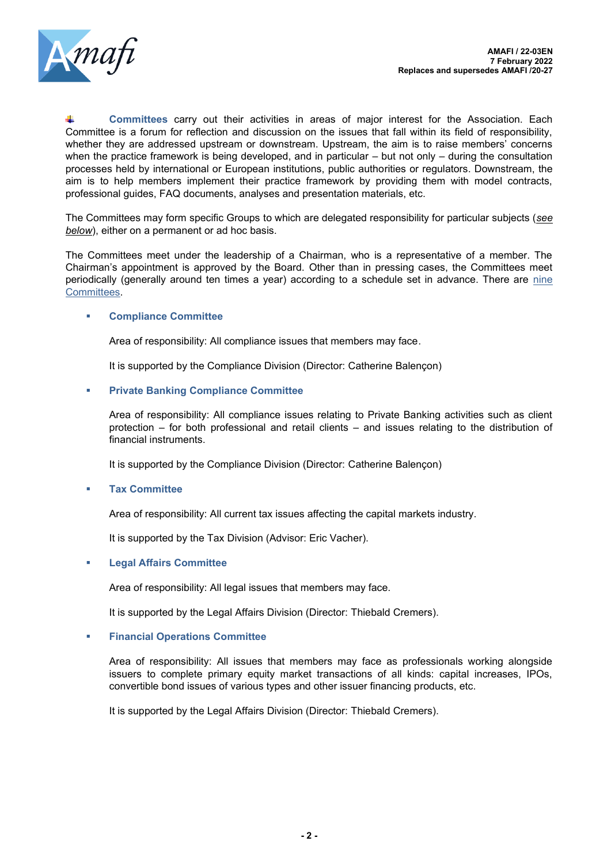

**Committees** carry out their activities in areas of major interest for the Association. Each Committee is a forum for reflection and discussion on the issues that fall within its field of responsibility, whether they are addressed upstream or downstream. Upstream, the aim is to raise members' concerns when the practice framework is being developed, and in particular – but not only – during the consultation processes held by international or European institutions, public authorities or regulators. Downstream, the aim is to help members implement their practice framework by providing them with model contracts, professional guides, FAQ documents, analyses and presentation materials, etc.

The Committees may form specific Groups to which are delegated responsibility for particular subjects (*see below*), either on a permanent or ad hoc basis.

The Committees meet under the leadership of a Chairman, who is a representative of a member. The Chairman's appointment is approved by the Board. Other than in pressing cases, the Committees meet periodically (generally around ten times a year) according to a schedule set in advance. There are nine Committees.

## **Compliance Committee**

Area of responsibility: All compliance issues that members may face.

It is supported by the Compliance Division (Director: Catherine Balençon)

## **Private Banking Compliance Committee**

Area of responsibility: All compliance issues relating to Private Banking activities such as client protection – for both professional and retail clients – and issues relating to the distribution of financial instruments.

It is supported by the Compliance Division (Director: Catherine Balençon)

### **Tax Committee**

Area of responsibility: All current tax issues affecting the capital markets industry.

It is supported by the Tax Division (Advisor: Eric Vacher).

#### **Legal Affairs Committee**

Area of responsibility: All legal issues that members may face.

It is supported by the Legal Affairs Division (Director: Thiebald Cremers).

#### **Financial Operations Committee**

Area of responsibility: All issues that members may face as professionals working alongside issuers to complete primary equity market transactions of all kinds: capital increases, IPOs, convertible bond issues of various types and other issuer financing products, etc.

It is supported by the Legal Affairs Division (Director: Thiebald Cremers).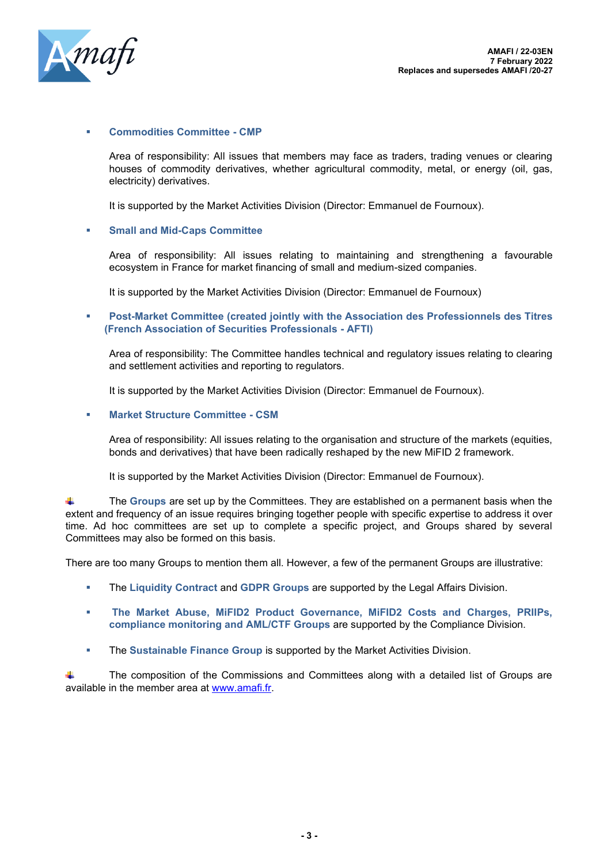

## ▪ **Commodities Committee - CMP**

Area of responsibility: All issues that members may face as traders, trading venues or clearing houses of commodity derivatives, whether agricultural commodity, metal, or energy (oil, gas, electricity) derivatives.

It is supported by the Market Activities Division (Director: Emmanuel de Fournoux).

## **Small and Mid-Caps Committee**

Area of responsibility: All issues relating to maintaining and strengthening a favourable ecosystem in France for market financing of small and medium-sized companies.

It is supported by the Market Activities Division (Director: Emmanuel de Fournoux)

▪ **Post-Market Committee (created jointly with the Association des Professionnels des Titres (French Association of Securities Professionals - AFTI)**

Area of responsibility: The Committee handles technical and regulatory issues relating to clearing and settlement activities and reporting to regulators.

It is supported by the Market Activities Division (Director: Emmanuel de Fournoux).

## ▪ **Market Structure Committee - CSM**

Area of responsibility: All issues relating to the organisation and structure of the markets (equities, bonds and derivatives) that have been radically reshaped by the new MiFID 2 framework.

It is supported by the Market Activities Division (Director: Emmanuel de Fournoux).

The **Groups** are set up by the Committees. They are established on a permanent basis when the extent and frequency of an issue requires bringing together people with specific expertise to address it over time. Ad hoc committees are set up to complete a specific project, and Groups shared by several Committees may also be formed on this basis.

There are too many Groups to mention them all. However, a few of the permanent Groups are illustrative:

- The **Liquidity Contract** and **GDPR Groups** are supported by the Legal Affairs Division.
- **The Market Abuse, MiFID2 Product Governance, MiFID2 Costs and Charges, PRIIPs, compliance monitoring and AML/CTF Groups** are supported by the Compliance Division.
- **EXECT** The Sustainable Finance Group is supported by the Market Activities Division.

The composition of the Commissions and Committees along with a detailed list of Groups are available in the member area at [www.amafi.fr.](http://www.amafi.fr/)